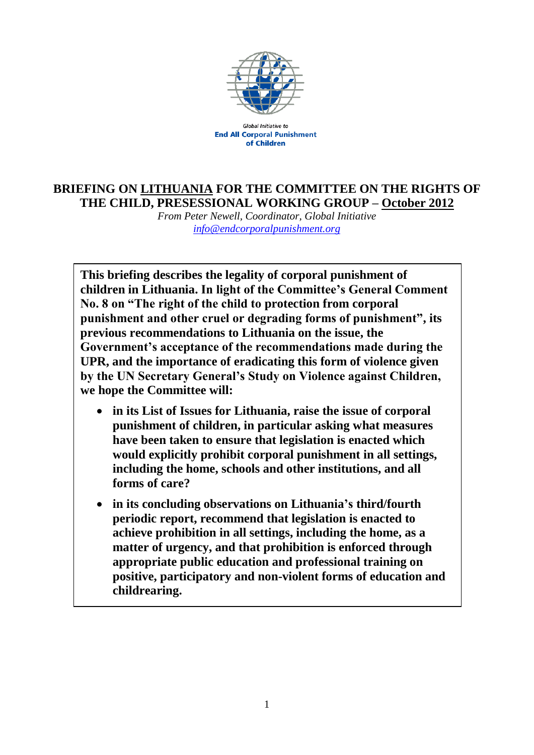

**Global Initiative to End All Corporal Punishment** of Children

## **BRIEFING ON LITHUANIA FOR THE COMMITTEE ON THE RIGHTS OF THE CHILD, PRESESSIONAL WORKING GROUP – October 2012**

*From Peter Newell, Coordinator, Global Initiative [info@endcorporalpunishment.org](mailto:info@endcorporalpunishment.org)*

**This briefing describes the legality of corporal punishment of children in Lithuania. In light of the Committee's General Comment No. 8 on "The right of the child to protection from corporal punishment and other cruel or degrading forms of punishment", its previous recommendations to Lithuania on the issue, the Government's acceptance of the recommendations made during the UPR, and the importance of eradicating this form of violence given by the UN Secretary General's Study on Violence against Children, we hope the Committee will:**

- **in its List of Issues for Lithuania, raise the issue of corporal punishment of children, in particular asking what measures have been taken to ensure that legislation is enacted which would explicitly prohibit corporal punishment in all settings, including the home, schools and other institutions, and all forms of care?**
- **in its concluding observations on Lithuania's third/fourth periodic report, recommend that legislation is enacted to achieve prohibition in all settings, including the home, as a matter of urgency, and that prohibition is enforced through appropriate public education and professional training on positive, participatory and non-violent forms of education and childrearing.**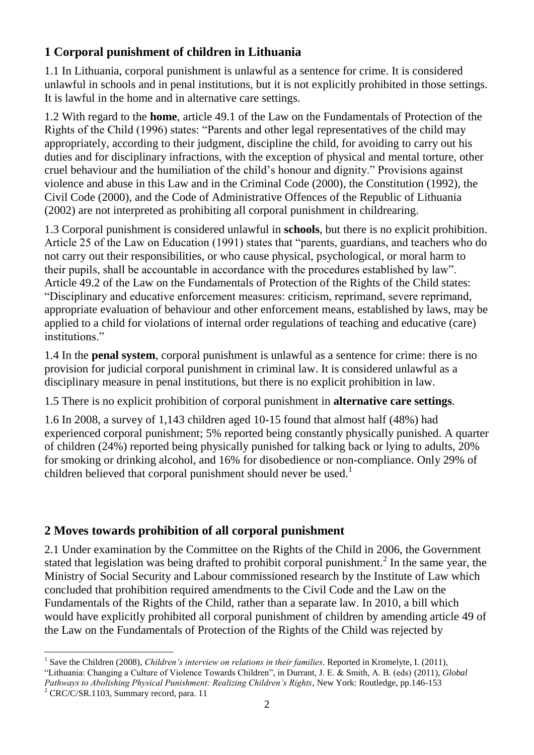## **1 Corporal punishment of children in Lithuania**

1.1 In Lithuania, corporal punishment is unlawful as a sentence for crime. It is considered unlawful in schools and in penal institutions, but it is not explicitly prohibited in those settings. It is lawful in the home and in alternative care settings.

1.2 With regard to the **home**, article 49.1 of the Law on the Fundamentals of Protection of the Rights of the Child (1996) states: "Parents and other legal representatives of the child may appropriately, according to their judgment, discipline the child, for avoiding to carry out his duties and for disciplinary infractions, with the exception of physical and mental torture, other cruel behaviour and the humiliation of the child's honour and dignity." Provisions against violence and abuse in this Law and in the Criminal Code (2000), the Constitution (1992), the Civil Code (2000), and the Code of Administrative Offences of the Republic of Lithuania (2002) are not interpreted as prohibiting all corporal punishment in childrearing.

1.3 Corporal punishment is considered unlawful in **schools**, but there is no explicit prohibition. Article 25 of the Law on Education (1991) states that "parents, guardians, and teachers who do not carry out their responsibilities, or who cause physical, psychological, or moral harm to their pupils, shall be accountable in accordance with the procedures established by law". Article 49.2 of the Law on the Fundamentals of Protection of the Rights of the Child states: "Disciplinary and educative enforcement measures: criticism, reprimand, severe reprimand, appropriate evaluation of behaviour and other enforcement means, established by laws, may be applied to a child for violations of internal order regulations of teaching and educative (care) institutions."

1.4 In the **penal system**, corporal punishment is unlawful as a sentence for crime: there is no provision for judicial corporal punishment in criminal law. It is considered unlawful as a disciplinary measure in penal institutions, but there is no explicit prohibition in law.

1.5 There is no explicit prohibition of corporal punishment in **alternative care settings**.

1.6 In 2008, a survey of 1,143 children aged 10-15 found that almost half (48%) had experienced corporal punishment; 5% reported being constantly physically punished. A quarter of children (24%) reported being physically punished for talking back or lying to adults, 20% for smoking or drinking alcohol, and 16% for disobedience or non-compliance. Only 29% of children believed that corporal punishment should never be used.<sup>1</sup>

## **2 Moves towards prohibition of all corporal punishment**

2.1 Under examination by the Committee on the Rights of the Child in 2006, the Government stated that legislation was being drafted to prohibit corporal punishment.<sup>2</sup> In the same year, the Ministry of Social Security and Labour commissioned research by the Institute of Law which concluded that prohibition required amendments to the Civil Code and the Law on the Fundamentals of the Rights of the Child, rather than a separate law. In 2010, a bill which would have explicitly prohibited all corporal punishment of children by amending article 49 of the Law on the Fundamentals of Protection of the Rights of the Child was rejected by

 $\overline{a}$ <sup>1</sup> Save the Children (2008), *Children's interview on relations in their families*. Reported in Kromelyte, I. (2011), "Lithuania: Changing a Culture of Violence Towards Children", in Durrant, J. E. & Smith, A. B. (eds) (2011), *Global Pathways to Abolishing Physical Punishment: Realizing Children's Rights*, New York: Routledge, pp.146-153

 $2$  CRC/C/SR.1103, Summary record, para. 11